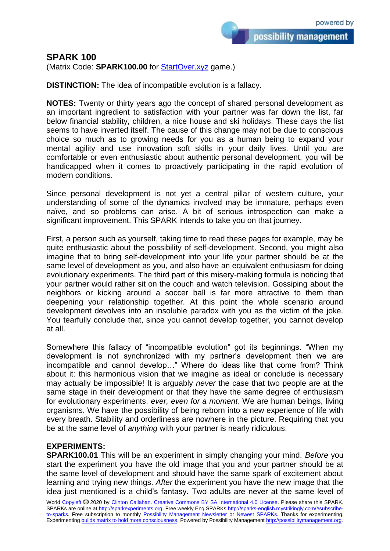## **SPARK 100**

(Matrix Code: **SPARK100.00** for [StartOver.xyz](https://startoverxyz.mystrikingly.com/) game.)

**DISTINCTION:** The idea of incompatible evolution is a fallacy.

**NOTES:** Twenty or thirty years ago the concept of shared personal development as an important ingredient to satisfaction with your partner was far down the list, far below financial stability, children, a nice house and ski holidays. These days the list seems to have inverted itself. The cause of this change may not be due to conscious choice so much as to growing needs for you as a human being to expand your mental agility and use innovation soft skills in your daily lives. Until you are comfortable or even enthusiastic about authentic personal development, you will be handicapped when it comes to proactively participating in the rapid evolution of modern conditions.

Since personal development is not yet a central pillar of western culture, your understanding of some of the dynamics involved may be immature, perhaps even naïve, and so problems can arise. A bit of serious introspection can make a significant improvement. This SPARK intends to take you on that journey.

First, a person such as yourself, taking time to read these pages for example, may be quite enthusiastic about the possibility of self-development. Second, you might also imagine that to bring self-development into your life your partner should be at the same level of development as you, and also have an equivalent enthusiasm for doing evolutionary experiments. The third part of this misery-making formula is noticing that your partner would rather sit on the couch and watch television. Gossiping about the neighbors or kicking around a soccer ball is far more attractive to them than deepening your relationship together. At this point the whole scenario around development devolves into an insoluble paradox with you as the victim of the joke. You tearfully conclude that, since you cannot develop together, you cannot develop at all.

Somewhere this fallacy of "incompatible evolution" got its beginnings. "When my development is not synchronized with my partner's development then we are incompatible and cannot develop…" Where do ideas like that come from? Think about it: this harmonious vision that we imagine as ideal or conclude is necessary may actually be impossible! It is arguably *never* the case that two people are at the same stage in their development or that they have the same degree of enthusiasm for evolutionary experiments, *ever, even for a moment*. We are human beings, living organisms. We have the possibility of being reborn into a new experience of life with every breath. Stability and orderliness are nowhere in the picture. Requiring that you be at the same level of *anything* with your partner is nearly ridiculous.

## **EXPERIMENTS:**

**SPARK100.01** This will be an experiment in simply changing your mind. *Before* you start the experiment you have the old image that you and your partner should be at the same level of development and should have the same spark of excitement about learning and trying new things. *After* the experiment you have the new image that the idea just mentioned is a child's fantasy. Two adults are never at the same level of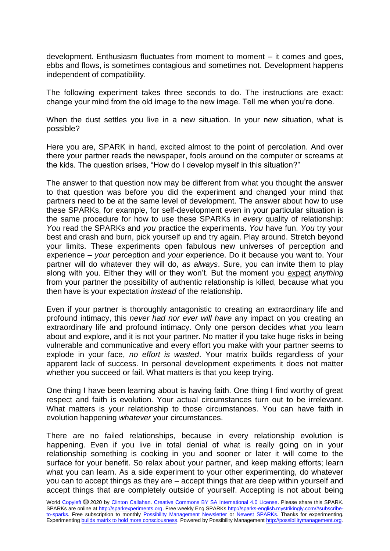development. Enthusiasm fluctuates from moment to moment – it comes and goes, ebbs and flows, is sometimes contagious and sometimes not. Development happens independent of compatibility.

The following experiment takes three seconds to do. The instructions are exact: change your mind from the old image to the new image. Tell me when you're done.

When the dust settles you live in a new situation. In your new situation, what is possible?

Here you are, SPARK in hand, excited almost to the point of percolation. And over there your partner reads the newspaper, fools around on the computer or screams at the kids. The question arises, "How do I develop myself in this situation?"

The answer to that question now may be different from what you thought the answer to that question was before you did the experiment and changed your mind that partners need to be at the same level of development. The answer about how to use these SPARKs, for example, for self-development even in your particular situation is the same procedure for how to use these SPARKs in *every* quality of relationship: *You* read the SPARKs and *you* practice the experiments. *You* have fun. *You* try your best and crash and burn, pick yourself up and try again. Play around. Stretch beyond your limits. These experiments open fabulous new universes of perception and experience – *your* perception and *your* experience. Do it because you want to. Your partner will do whatever they will do, *as always*. Sure, you can invite them to play along with you. Either they will or they won't. But the moment you expect *anything* from your partner the possibility of authentic relationship is killed, because what you then have is your expectation *instead* of the relationship.

Even if your partner is thoroughly antagonistic to creating an extraordinary life and profound intimacy, this *never had nor ever will have* any impact on you creating an extraordinary life and profound intimacy. Only one person decides what *you* learn about and explore, and it is not your partner. No matter if you take huge risks in being vulnerable and communicative and every effort you make with your partner seems to explode in your face, *no effort is wasted*. Your matrix builds regardless of your apparent lack of success. In personal development experiments it does not matter whether you succeed or fail. What matters is that you keep trying.

One thing I have been learning about is having faith. One thing I find worthy of great respect and faith is evolution. Your actual circumstances turn out to be irrelevant. What matters is your relationship to those circumstances. You can have faith in evolution happening *whatever* your circumstances.

There are no failed relationships, because in every relationship evolution is happening. Even if you live in total denial of what is really going on in your relationship something is cooking in you and sooner or later it will come to the surface for your benefit. So relax about your partner, and keep making efforts; learn what you can learn. As a side experiment to your other experimenting, do whatever you can to accept things as they are – accept things that are deep within yourself and accept things that are completely outside of yourself. Accepting is not about being